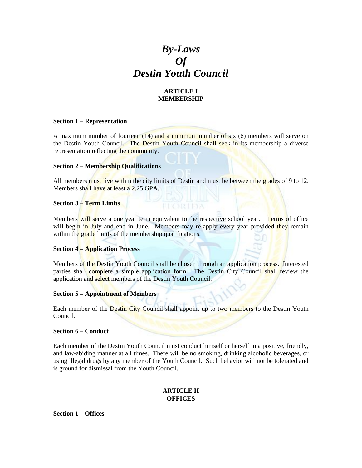# *By-Laws Of Destin Youth Council*

# **ARTICLE I MEMBERSHIP**

#### **Section 1 – Representation**

A maximum number of fourteen  $(14)$  and a minimum number of six  $(6)$  members will serve on the Destin Youth Council. The Destin Youth Council shall seek in its membership a diverse representation reflecting the community.

## **Section 2 – Membership Qualifications**

All members must live within the city limits of Destin and must be between the grades of 9 to 12. Members shall have at least a 2.25 GPA.

## **Section 3 – Term Limits**

Members will serve a one year term equivalent to the respective school year. Terms of office will begin in July and end in June. Members may re-apply every year provided they remain within the grade limits of the membership qualifications.

**FLORIDA** 

# **Section 4 – Application Process**

Members of the Destin Youth Council shall be chosen through an application process. Interested parties shall complete a simple application form. The Destin City Council shall review the application and select members of the Destin Youth Council.

## **Section 5 – Appointment of Members**

Each member of the Destin City Council shall appoint up to two members to the Destin Youth Council.

#### **Section 6 – Conduct**

Each member of the Destin Youth Council must conduct himself or herself in a positive, friendly, and law-abiding manner at all times. There will be no smoking, drinking alcoholic beverages, or using illegal drugs by any member of the Youth Council. Such behavior will not be tolerated and is ground for dismissal from the Youth Council.

## **ARTICLE II OFFICES**

#### **Section 1 – Offices**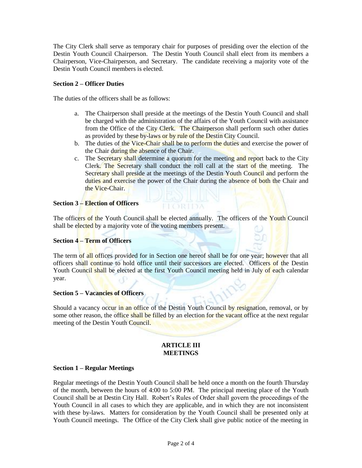The City Clerk shall serve as temporary chair for purposes of presiding over the election of the Destin Youth Council Chairperson. The Destin Youth Council shall elect from its members a Chairperson, Vice-Chairperson, and Secretary. The candidate receiving a majority vote of the Destin Youth Council members is elected.

### **Section 2 – Officer Duties**

The duties of the officers shall be as follows:

- a. The Chairperson shall preside at the meetings of the Destin Youth Council and shall be charged with the administration of the affairs of the Youth Council with assistance from the Office of the City Clerk. The Chairperson shall perform such other duties as provided by these by-laws or by rule of the Destin City Council.
- b. The duties of the Vice-Chair shall be to perform the duties and exercise the power of the Chair during the absence of the Chair.
- c. The Secretary shall determine a quorum for the meeting and report back to the City Clerk. The Secretary shall conduct the roll call at the start of the meeting. The Secretary shall preside at the meetings of the Destin Youth Council and perform the duties and exercise the power of the Chair during the absence of both the Chair and the Vice-Chair.

## **Section 3 – Election of Officers**

The officers of the Youth Council shall be elected annually. The officers of the Youth Council shall be elected by a majority vote of the voting members present.

FICIRITYA

## **Section 4 – Term of Officers**

The term of all offices provided for in Section one hereof shall be for one year; however that all officers shall continue to hold office until their successors are elected. Officers of the Destin Youth Council shall be elected at the first Youth Council meeting held in July of each calendar year.

#### **Section 5 – Vacancies of Officers**

Should a vacancy occur in an office of the Destin Youth Council by resignation, removal, or by some other reason, the office shall be filled by an election for the vacant office at the next regular meeting of the Destin Youth Council.

#### **ARTICLE III MEETINGS**

#### **Section 1 – Regular Meetings**

Regular meetings of the Destin Youth Council shall be held once a month on the fourth Thursday of the month, between the hours of 4:00 to 5:00 PM. The principal meeting place of the Youth Council shall be at Destin City Hall. Robert's Rules of Order shall govern the proceedings of the Youth Council in all cases to which they are applicable, and in which they are not inconsistent with these by-laws. Matters for consideration by the Youth Council shall be presented only at Youth Council meetings. The Office of the City Clerk shall give public notice of the meeting in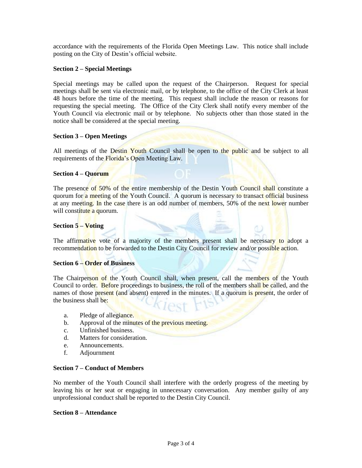accordance with the requirements of the Florida Open Meetings Law. This notice shall include posting on the City of Destin's official website.

## **Section 2 – Special Meetings**

Special meetings may be called upon the request of the Chairperson. Request for special meetings shall be sent via electronic mail, or by telephone, to the office of the City Clerk at least 48 hours before the time of the meeting. This request shall include the reason or reasons for requesting the special meeting. The Office of the City Clerk shall notify every member of the Youth Council via electronic mail or by telephone. No subjects other than those stated in the notice shall be considered at the special meeting.

## **Section 3 – Open Meetings**

All meetings of the Destin Youth Council shall be open to the public and be subject to all requirements of the Florida's Open Meeting Law.

#### **Section 4 – Quorum**

The presence of 50% of the entire membership of the Destin Youth Council shall constitute a quorum for a meeting of the Youth Council. A quorum is necessary to transact official business at any meeting. In the case there is an odd number of members, 50% of the next lower number will constitute a quorum.

#### **Section 5 – Voting**

The affirmative vote of a majority of the members present shall be necessary to adopt a recommendation to be forwarded to the Destin City Council for review and/or possible action.

## **Section 6 – Order of Business**

The Chairperson of the Youth Council shall, when present, call the members of the Youth Council to order. Before proceedings to business, the roll of the members shall be called, and the names of those present (and absent) entered in the minutes. If a quorum is present, the order of the business shall be:

- a. Pledge of allegiance.
- b. Approval of the minutes of the previous meeting.
- c. Unfinished business.
- d. Matters for consideration.
- e. Announcements.
- f. Adjournment

#### **Section 7 – Conduct of Members**

No member of the Youth Council shall interfere with the orderly progress of the meeting by leaving his or her seat or engaging in unnecessary conversation. Any member guilty of any unprofessional conduct shall be reported to the Destin City Council.

## **Section 8 – Attendance**